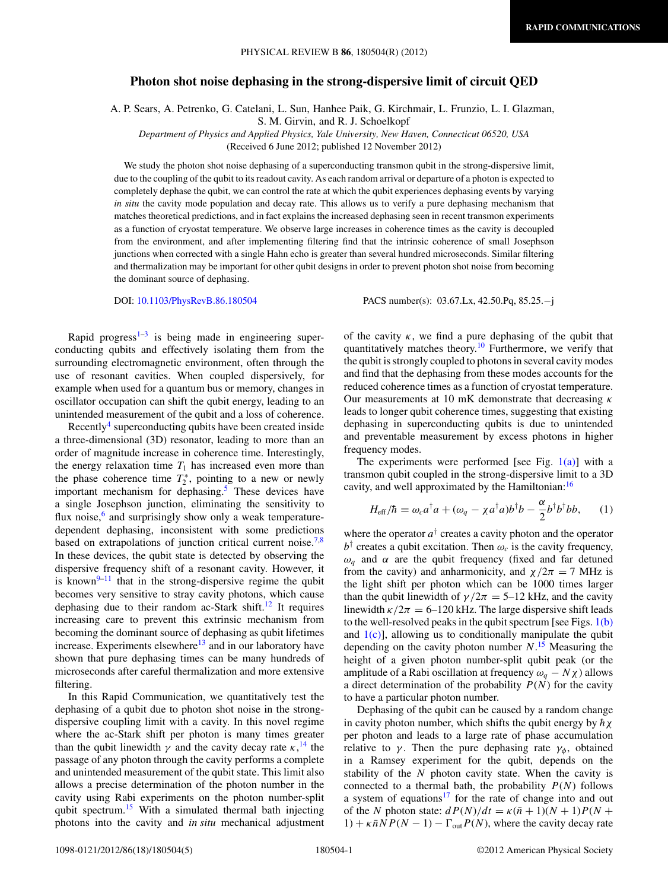## <span id="page-0-0"></span>**Photon shot noise dephasing in the strong-dispersive limit of circuit QED**

A. P. Sears, A. Petrenko, G. Catelani, L. Sun, Hanhee Paik, G. Kirchmair, L. Frunzio, L. I. Glazman,

S. M. Girvin, and R. J. Schoelkopf

*Department of Physics and Applied Physics, Yale University, New Haven, Connecticut 06520, USA* (Received 6 June 2012; published 12 November 2012)

We study the photon shot noise dephasing of a superconducting transmon qubit in the strong-dispersive limit, due to the coupling of the qubit to its readout cavity. As each random arrival or departure of a photon is expected to completely dephase the qubit, we can control the rate at which the qubit experiences dephasing events by varying *in situ* the cavity mode population and decay rate. This allows us to verify a pure dephasing mechanism that matches theoretical predictions, and in fact explains the increased dephasing seen in recent transmon experiments as a function of cryostat temperature. We observe large increases in coherence times as the cavity is decoupled from the environment, and after implementing filtering find that the intrinsic coherence of small Josephson junctions when corrected with a single Hahn echo is greater than several hundred microseconds. Similar filtering and thermalization may be important for other qubit designs in order to prevent photon shot noise from becoming the dominant source of dephasing.

DOI: [10.1103/PhysRevB.86.180504](http://dx.doi.org/10.1103/PhysRevB.86.180504) PACS number(s): 03*.*67*.*Lx, 42*.*50*.*Pq, 85*.*25*.*−j

Rapid progress<sup> $1-3$ </sup> is being made in engineering superconducting qubits and effectively isolating them from the surrounding electromagnetic environment, often through the use of resonant cavities. When coupled dispersively, for example when used for a quantum bus or memory, changes in oscillator occupation can shift the qubit energy, leading to an unintended measurement of the qubit and a loss of coherence.

Recently<sup>4</sup> superconducting qubits have been created inside a three-dimensional (3D) resonator, leading to more than an order of magnitude increase in coherence time. Interestingly, the energy relaxation time  $T_1$  has increased even more than the phase coherence time  $T_2^*$ , pointing to a new or newly important mechanism for dephasing.<sup>[5](#page-3-0)</sup> These devices have a single Josephson junction, eliminating the sensitivity to flux noise, $6$  and surprisingly show only a weak temperaturedependent dephasing, inconsistent with some predictions based on extrapolations of junction critical current noise.<sup>[7,8](#page-3-0)</sup> In these devices, the qubit state is detected by observing the dispersive frequency shift of a resonant cavity. However, it is known $9-11$  that in the strong-dispersive regime the qubit becomes very sensitive to stray cavity photons, which cause dephasing due to their random ac-Stark shift.<sup>[12](#page-3-0)</sup> It requires increasing care to prevent this extrinsic mechanism from becoming the dominant source of dephasing as qubit lifetimes increase. Experiments elsewhere $13$  and in our laboratory have shown that pure dephasing times can be many hundreds of microseconds after careful thermalization and more extensive filtering.

In this Rapid Communication, we quantitatively test the dephasing of a qubit due to photon shot noise in the strongdispersive coupling limit with a cavity. In this novel regime where the ac-Stark shift per photon is many times greater than the qubit linewidth  $\gamma$  and the cavity decay rate  $\kappa$ <sup>[14](#page-4-0)</sup>, the passage of any photon through the cavity performs a complete and unintended measurement of the qubit state. This limit also allows a precise determination of the photon number in the cavity using Rabi experiments on the photon number-split qubit spectrum.<sup>15</sup> With a simulated thermal bath injecting photons into the cavity and *in situ* mechanical adjustment of the cavity  $\kappa$ , we find a pure dephasing of the qubit that quantitatively matches theory.<sup>10</sup> Furthermore, we verify that the qubit is strongly coupled to photons in several cavity modes and find that the dephasing from these modes accounts for the reduced coherence times as a function of cryostat temperature. Our measurements at 10 mK demonstrate that decreasing *κ* leads to longer qubit coherence times, suggesting that existing dephasing in superconducting qubits is due to unintended and preventable measurement by excess photons in higher frequency modes.

The experiments were performed [see Fig.  $1(a)$ ] with a transmon qubit coupled in the strong-dispersive limit to a 3D cavity, and well approximated by the Hamiltonian:<sup>[16](#page-4-0)</sup>

$$
H_{\text{eff}}/\hbar = \omega_c a^{\dagger} a + (\omega_q - \chi a^{\dagger} a) b^{\dagger} b - \frac{\alpha}{2} b^{\dagger} b^{\dagger} b b, \qquad (1)
$$

where the operator  $a^{\dagger}$  creates a cavity photon and the operator  $b^{\dagger}$  creates a qubit excitation. Then  $\omega_c$  is the cavity frequency,  $ω<sub>q</sub>$  and *α* are the qubit frequency (fixed and far detuned from the cavity) and anharmonicity, and  $\chi/2\pi = 7$  MHz is the light shift per photon which can be 1000 times larger than the qubit linewidth of  $\gamma/2\pi = 5$ –12 kHz, and the cavity linewidth  $\kappa/2\pi = 6$ –120 kHz. The large dispersive shift leads to the well-resolved peaks in the qubit spectrum [see Figs.  $1(b)$ ] and  $1(c)$ , allowing us to conditionally manipulate the qubit depending on the cavity photon number *N*. [15](#page-4-0) Measuring the height of a given photon number-split qubit peak (or the amplitude of a Rabi oscillation at frequency  $\omega_a - N\chi$ ) allows a direct determination of the probability  $P(N)$  for the cavity to have a particular photon number.

Dephasing of the qubit can be caused by a random change in cavity photon number, which shifts the qubit energy by  $h\chi$ per photon and leads to a large rate of phase accumulation relative to  $\gamma$ . Then the pure dephasing rate  $\gamma_{\phi}$ , obtained in a Ramsey experiment for the qubit, depends on the stability of the *N* photon cavity state. When the cavity is connected to a thermal bath, the probability  $P(N)$  follows a system of equations $17$  for the rate of change into and out of the *N* photon state:  $dP(N)/dt = \kappa(\bar{n} + 1)(N + 1)P(N + 1)$  $1) + \kappa \bar{n} N P(N - 1) - \Gamma_{\text{out}} P(N)$ , where the cavity decay rate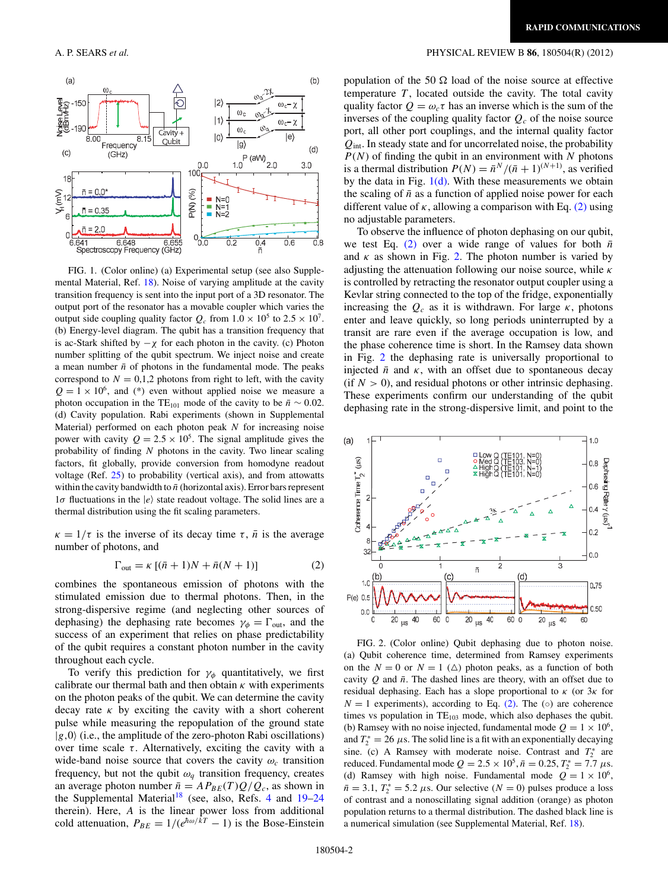

FIG. 1. (Color online) (a) Experimental setup (see also Supplemental Material, Ref. [18\)](#page-4-0). Noise of varying amplitude at the cavity transition frequency is sent into the input port of a 3D resonator. The output port of the resonator has a movable coupler which varies the output side coupling quality factor  $Q_c$  from  $1.0 \times 10^5$  to  $2.5 \times 10^7$ . (b) Energy-level diagram. The qubit has a transition frequency that is ac-Stark shifted by  $-\chi$  for each photon in the cavity. (c) Photon number splitting of the qubit spectrum. We inject noise and create a mean number  $\bar{n}$  of photons in the fundamental mode. The peaks correspond to  $N = 0,1,2$  photons from right to left, with the cavity  $Q = 1 \times 10^6$ , and (\*) even without applied noise we measure a photon occupation in the TE<sub>101</sub> mode of the cavity to be  $\bar{n} \sim 0.02$ . (d) Cavity population. Rabi experiments (shown in Supplemental Material) performed on each photon peak *N* for increasing noise power with cavity  $Q = 2.5 \times 10^5$ . The signal amplitude gives the probability of finding *N* photons in the cavity. Two linear scaling factors, fit globally, provide conversion from homodyne readout voltage (Ref. [25\)](#page-4-0) to probability (vertical axis), and from attowatts within the cavity bandwidth to  $\bar{n}$  (horizontal axis). Error bars represent  $1\sigma$  fluctuations in the  $|e\rangle$  state readout voltage. The solid lines are a thermal distribution using the fit scaling parameters.

 $\kappa = 1/\tau$  is the inverse of its decay time  $\tau$ ,  $\bar{n}$  is the average number of photons, and

$$
\Gamma_{\text{out}} = \kappa \left[ (\bar{n} + 1)N + \bar{n}(N + 1) \right] \tag{2}
$$

combines the spontaneous emission of photons with the stimulated emission due to thermal photons. Then, in the strong-dispersive regime (and neglecting other sources of dephasing) the dephasing rate becomes  $\gamma_{\phi} = \Gamma_{\text{out}}$ , and the success of an experiment that relies on phase predictability of the qubit requires a constant photon number in the cavity throughout each cycle.

To verify this prediction for  $\gamma_{\phi}$  quantitatively, we first calibrate our thermal bath and then obtain *κ* with experiments on the photon peaks of the qubit. We can determine the cavity decay rate  $\kappa$  by exciting the cavity with a short coherent pulse while measuring the repopulation of the ground state  $|g,0\rangle$  (i.e., the amplitude of the zero-photon Rabi oscillations) over time scale  $\tau$ . Alternatively, exciting the cavity with a wide-band noise source that covers the cavity  $\omega_c$  transition frequency, but not the qubit  $\omega_q$  transition frequency, creates an average photon number  $\bar{n} = AP_{BE}(T)Q/Q_c$ , as shown in the Supplemental Material<sup>[18](#page-4-0)</sup> (see, also, Refs. [4](#page-3-0) and  $19-24$ therein). Here, *A* is the linear power loss from additional cold attenuation,  $P_{BE} = 1/(e^{\hbar \omega/\tilde{k}T} - 1)$  is the Bose-Einstein

## <span id="page-1-0"></span>A. P. SEARS *et al.* PHYSICAL REVIEW B **86**, 180504(R) (2012)

population of the 50  $\Omega$  load of the noise source at effective temperature  $T$ , located outside the cavity. The total cavity quality factor  $Q = \omega_c \tau$  has an inverse which is the sum of the inverses of the coupling quality factor  $Q_c$  of the noise source port, all other port couplings, and the internal quality factor *Q*int. In steady state and for uncorrelated noise, the probability *P*(*N*) of finding the qubit in an environment with *N* photons is a thermal distribution  $P(N) = \bar{n}^N / (\bar{n} + 1)^{(N+1)}$ , as verified by the data in Fig.  $1(d)$ . With these measurements we obtain the scaling of  $\bar{n}$  as a function of applied noise power for each different value of  $\kappa$ , allowing a comparison with Eq. (2) using no adjustable parameters.

To observe the influence of photon dephasing on our qubit, we test Eq.  $(2)$  over a wide range of values for both  $\bar{n}$ and  $\kappa$  as shown in Fig. 2. The photon number is varied by adjusting the attenuation following our noise source, while *κ* is controlled by retracting the resonator output coupler using a Kevlar string connected to the top of the fridge, exponentially increasing the  $Q_c$  as it is withdrawn. For large  $\kappa$ , photons enter and leave quickly, so long periods uninterrupted by a transit are rare even if the average occupation is low, and the phase coherence time is short. In the Ramsey data shown in Fig. 2 the dephasing rate is universally proportional to injected  $\bar{n}$  and  $\kappa$ , with an offset due to spontaneous decay (if  $N > 0$ ), and residual photons or other intrinsic dephasing. These experiments confirm our understanding of the qubit dephasing rate in the strong-dispersive limit, and point to the



FIG. 2. (Color online) Qubit dephasing due to photon noise. (a) Qubit coherence time, determined from Ramsey experiments on the  $N = 0$  or  $N = 1$  ( $\triangle$ ) photon peaks, as a function of both cavity  $O$  and  $\bar{n}$ . The dashed lines are theory, with an offset due to residual dephasing. Each has a slope proportional to *κ* (or 3*κ* for  $N = 1$  experiments), according to Eq. (2). The ( $\circ$ ) are coherence times vs population in  $TE_{103}$  mode, which also dephases the qubit. (b) Ramsey with no noise injected, fundamental mode  $Q = 1 \times 10^6$ , and  $T_2^* = 26 \,\mu s$ . The solid line is a fit with an exponentially decaying sine. (c) A Ramsey with moderate noise. Contrast and  $T_2^*$  are reduced. Fundamental mode  $Q = 2.5 \times 10^5$ ,  $\bar{n} = 0.25$ ,  $T_2^* = 7.7 \mu s$ . (d) Ramsey with high noise. Fundamental mode  $Q = 1 \times 10^6$ ,  $\bar{n} = 3.1, T_2^* = 5.2 \mu s$ . Our selective (*N* = 0) pulses produce a loss of contrast and a nonoscillating signal addition (orange) as photon population returns to a thermal distribution. The dashed black line is a numerical simulation (see Supplemental Material, Ref. [18\)](#page-4-0).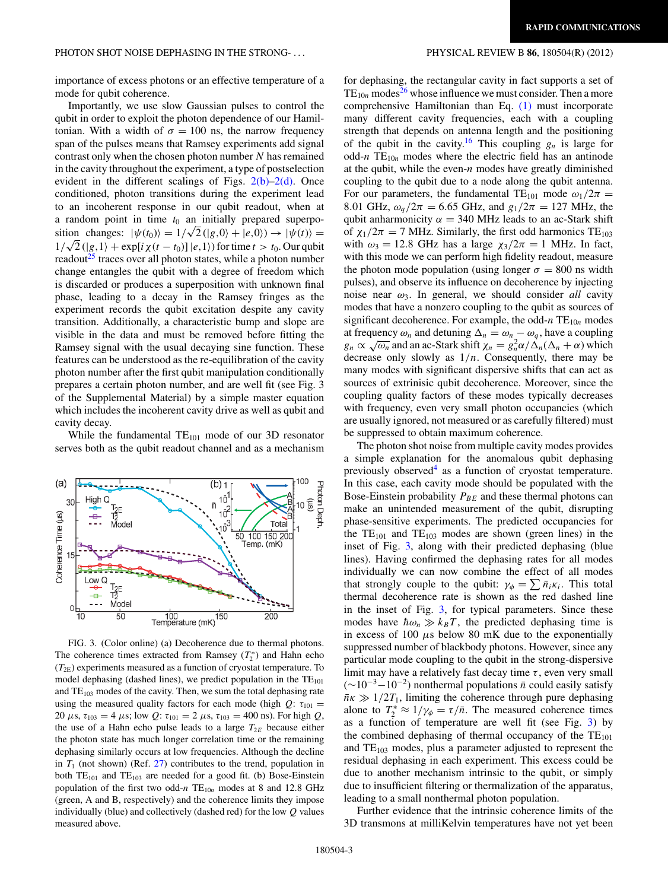importance of excess photons or an effective temperature of a mode for qubit coherence.

Importantly, we use slow Gaussian pulses to control the qubit in order to exploit the photon dependence of our Hamiltonian. With a width of  $\sigma = 100$  ns, the narrow frequency span of the pulses means that Ramsey experiments add signal contrast only when the chosen photon number *N* has remained in the cavity throughout the experiment, a type of postselection evident in the different scalings of Figs.  $2(b)-2(d)$ . Once conditioned, photon transitions during the experiment lead to an incoherent response in our qubit readout, when at a random point in time  $t_0$  an initially prepared superposition changes:  $|\psi(t_0)\rangle = 1/\sqrt{2} (|g,0\rangle + |e,0\rangle) \rightarrow |\psi(t)\rangle =$ 1/ $\sqrt{2}$  (|*g*, 1) + exp[*i*  $\chi$ (*t* − *t*<sub>0</sub>)] |*e*, 1) for time *t* > *t*<sub>0</sub>. Our qubit readout $^{25}$  $^{25}$  $^{25}$  traces over all photon states, while a photon number change entangles the qubit with a degree of freedom which is discarded or produces a superposition with unknown final phase, leading to a decay in the Ramsey fringes as the experiment records the qubit excitation despite any cavity transition. Additionally, a characteristic bump and slope are visible in the data and must be removed before fitting the Ramsey signal with the usual decaying sine function. These features can be understood as the re-equilibration of the cavity photon number after the first qubit manipulation conditionally prepares a certain photon number, and are well fit (see Fig. 3 of the Supplemental Material) by a simple master equation which includes the incoherent cavity drive as well as qubit and cavity decay.

While the fundamental  $TE_{101}$  mode of our 3D resonator serves both as the qubit readout channel and as a mechanism



FIG. 3. (Color online) (a) Decoherence due to thermal photons. The coherence times extracted from Ramsey  $(T_2^*)$  and Hahn echo  $(T_{2E})$  experiments measured as a function of cryostat temperature. To model dephasing (dashed lines), we predict population in the  $TE_{101}$ and TE<sub>103</sub> modes of the cavity. Then, we sum the total dephasing rate using the measured quality factors for each mode (high  $Q: \tau_{101} =$ 20 *μ*s,  $τ_{103} = 4 \mu$ s; low *Q*:  $τ_{101} = 2 \mu$ s,  $τ_{103} = 400$  ns). For high *Q*, the use of a Hahn echo pulse leads to a large  $T_{2E}$  because either the photon state has much longer correlation time or the remaining dephasing similarly occurs at low frequencies. Although the decline in  $T_1$  (not shown) (Ref. [27\)](#page-4-0) contributes to the trend, population in both  $TE_{101}$  and  $TE_{103}$  are needed for a good fit. (b) Bose-Einstein population of the first two odd- $n$  TE<sub>10n</sub> modes at 8 and 12.8 GHz (green, A and B, respectively) and the coherence limits they impose individually (blue) and collectively (dashed red) for the low *Q* values measured above.

for dephasing, the rectangular cavity in fact supports a set of  $TE_{10n}$  modes<sup>[26](#page-4-0)</sup> whose influence we must consider. Then a more comprehensive Hamiltonian than Eq. [\(1\)](#page-0-0) must incorporate many different cavity frequencies, each with a coupling strength that depends on antenna length and the positioning of the qubit in the cavity.<sup>[16](#page-4-0)</sup> This coupling  $g_n$  is large for odd- $n$  TE<sub>10n</sub> modes where the electric field has an antinode at the qubit, while the even-*n* modes have greatly diminished coupling to the qubit due to a node along the qubit antenna. For our parameters, the fundamental TE<sub>101</sub> mode  $\omega_1/2\pi$  = 8.01 GHz,  $\omega_q/2\pi = 6.65$  GHz, and  $g_1/2\pi = 127$  MHz, the qubit anharmonicity  $\alpha = 340$  MHz leads to an ac-Stark shift of  $\chi_1/2\pi = 7$  MHz. Similarly, the first odd harmonics TE<sub>103</sub> with  $\omega_3 = 12.8$  GHz has a large  $\chi_3/2\pi = 1$  MHz. In fact, with this mode we can perform high fidelity readout, measure the photon mode population (using longer  $\sigma = 800$  ns width pulses), and observe its influence on decoherence by injecting noise near  $\omega_3$ . In general, we should consider *all* cavity modes that have a nonzero coupling to the qubit as sources of significant decoherence. For example, the odd- $n$  TE<sub>10*n*</sub> modes at frequency  $\omega_n$  and detuning  $\Delta_n = \omega_n - \omega_q$ , have a coupling  $g_n \propto \sqrt{\omega_n}$  and an ac-Stark shift  $\chi_n = g_n^2 \alpha / \Delta_n (\Delta_n + \alpha)$  which decrease only slowly as  $1/n$ . Consequently, there may be many modes with significant dispersive shifts that can act as sources of extrinisic qubit decoherence. Moreover, since the coupling quality factors of these modes typically decreases with frequency, even very small photon occupancies (which are usually ignored, not measured or as carefully filtered) must be suppressed to obtain maximum coherence.

The photon shot noise from multiple cavity modes provides a simple explanation for the anomalous qubit dephasing previously observed<sup>4</sup> as a function of cryostat temperature. In this case, each cavity mode should be populated with the Bose-Einstein probability  $P_{BE}$  and these thermal photons can make an unintended measurement of the qubit, disrupting phase-sensitive experiments. The predicted occupancies for the  $TE_{101}$  and  $TE_{103}$  modes are shown (green lines) in the inset of Fig. 3, along with their predicted dephasing (blue lines). Having confirmed the dephasing rates for all modes individually we can now combine the effect of all modes that strongly couple to the qubit:  $\gamma_{\phi} = \sum \bar{n}_i \kappa_i$ . This total thermal decoherence rate is shown as the red dashed line in the inset of Fig. 3, for typical parameters. Since these modes have  $\hbar \omega_n \gg k_B T$ , the predicted dephasing time is in excess of 100 *μ*s below 80 mK due to the exponentially suppressed number of blackbody photons. However, since any particular mode coupling to the qubit in the strong-dispersive limit may have a relatively fast decay time  $\tau$ , even very small  $(\sim 10^{-3} - 10^{-2})$  nonthermal populations  $\bar{n}$  could easily satisfy  $\bar{n}\kappa \gg 1/2T_1$ , limiting the coherence through pure dephasing alone to  $T_2^* \approx 1/\gamma_\phi = \tau/\bar{n}$ . The measured coherence times as a function of temperature are well fit (see Fig. 3) by the combined dephasing of thermal occupancy of the  $TE_{101}$ and  $TE_{103}$  modes, plus a parameter adjusted to represent the residual dephasing in each experiment. This excess could be due to another mechanism intrinsic to the qubit, or simply due to insufficient filtering or thermalization of the apparatus, leading to a small nonthermal photon population.

Further evidence that the intrinsic coherence limits of the 3D transmons at milliKelvin temperatures have not yet been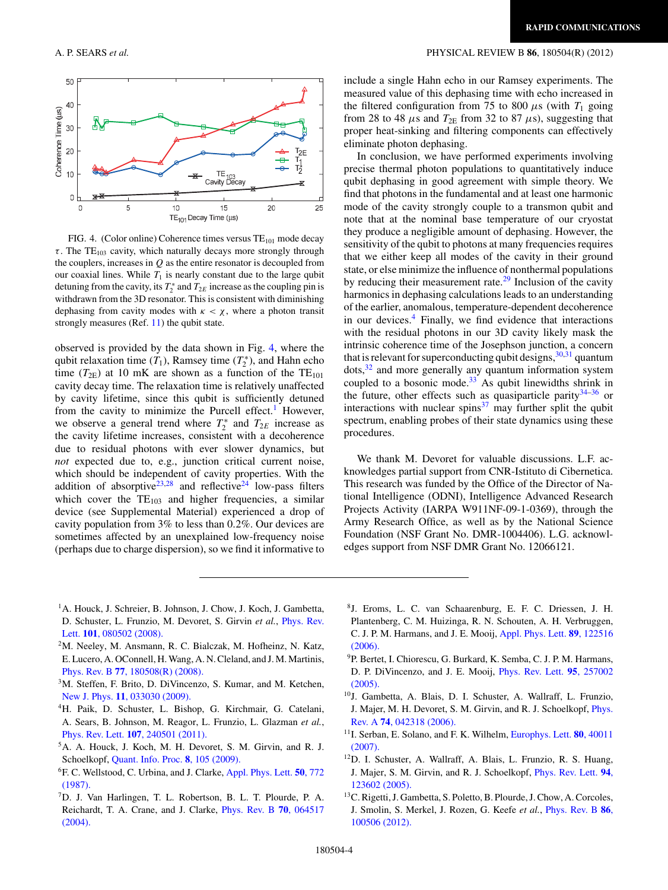## <span id="page-3-0"></span>A. P. SEARS *et al.* PHYSICAL REVIEW B **86**, 180504(R) (2012)



FIG. 4. (Color online) Coherence times versus  $TE_{101}$  mode decay  $\tau$ . The TE<sub>103</sub> cavity, which naturally decays more strongly through the couplers, increases in *Q* as the entire resonator is decoupled from our coaxial lines. While  $T_1$  is nearly constant due to the large qubit detuning from the cavity, its  $T_2^*$  and  $T_{2E}$  increase as the coupling pin is withdrawn from the 3D resonator. This is consistent with diminishing dephasing from cavity modes with  $\kappa < \chi$ , where a photon transit strongly measures (Ref.  $11$ ) the qubit state.

observed is provided by the data shown in Fig. 4, where the qubit relaxation time  $(T_1)$ , Ramsey time  $(T_2^*)$ , and Hahn echo time ( $T_{2E}$ ) at 10 mK are shown as a function of the TE<sub>101</sub> cavity decay time. The relaxation time is relatively unaffected by cavity lifetime, since this qubit is sufficiently detuned from the cavity to minimize the Purcell effect.<sup>1</sup> However, we observe a general trend where  $T_2^*$  and  $T_{2E}$  increase as the cavity lifetime increases, consistent with a decoherence due to residual photons with ever slower dynamics, but *not* expected due to, e.g., junction critical current noise, which should be independent of cavity properties. With the addition of absorptive<sup>23,28</sup> and reflective<sup>24</sup> low-pass filters which cover the  $TE_{103}$  and higher frequencies, a similar device (see Supplemental Material) experienced a drop of cavity population from 3% to less than 0*.*2%. Our devices are sometimes affected by an unexplained low-frequency noise (perhaps due to charge dispersion), so we find it informative to include a single Hahn echo in our Ramsey experiments. The measured value of this dephasing time with echo increased in the filtered configuration from 75 to 800  $\mu$ s (with  $T_1$  going from 28 to 48  $\mu$ s and  $T_{2E}$  from 32 to 87  $\mu$ s), suggesting that proper heat-sinking and filtering components can effectively eliminate photon dephasing.

In conclusion, we have performed experiments involving precise thermal photon populations to quantitatively induce qubit dephasing in good agreement with simple theory. We find that photons in the fundamental and at least one harmonic mode of the cavity strongly couple to a transmon qubit and note that at the nominal base temperature of our cryostat they produce a negligible amount of dephasing. However, the sensitivity of the qubit to photons at many frequencies requires that we either keep all modes of the cavity in their ground state, or else minimize the influence of nonthermal populations by reducing their measurement rate. $29$  Inclusion of the cavity harmonics in dephasing calculations leads to an understanding of the earlier, anomalous, temperature-dependent decoherence in our devices. $4$  Finally, we find evidence that interactions with the residual photons in our 3D cavity likely mask the intrinsic coherence time of the Josephson junction, a concern that is relevant for superconducting qubit designs,  $30,31$  quantum dots,<sup>32</sup> and more generally any quantum information system coupled to a bosonic mode. $33$  As qubit linewidths shrink in the future, other effects such as quasiparticle parity  $34-36$  or interactions with nuclear spins $37$  may further split the qubit spectrum, enabling probes of their state dynamics using these procedures.

We thank M. Devoret for valuable discussions. L.F. acknowledges partial support from CNR-Istituto di Cibernetica. This research was funded by the Office of the Director of National Intelligence (ODNI), Intelligence Advanced Research Projects Activity (IARPA W911NF-09-1-0369), through the Army Research Office, as well as by the National Science Foundation (NSF Grant No. DMR-1004406). L.G. acknowledges support from NSF DMR Grant No. 12066121.

- <sup>1</sup>A. Houck, J. Schreier, B. Johnson, J. Chow, J. Koch, J. Gambetta, D. Schuster, L. Frunzio, M. Devoret, S. Girvin *et al.*, [Phys. Rev.](http://dx.doi.org/10.1103/PhysRevLett.101.080502) Lett. **101**[, 080502 \(2008\).](http://dx.doi.org/10.1103/PhysRevLett.101.080502)
- $2<sup>2</sup>M$ . Neeley, M. Ansmann, R. C. Bialczak, M. Hofheinz, N. Katz, E. Lucero, A. OConnell, H.Wang, A. N. Cleland, and J. M. Martinis, Phys. Rev. B **77**[, 180508\(R\) \(2008\).](http://dx.doi.org/10.1103/PhysRevB.77.180508)
- 3M. Steffen, F. Brito, D. DiVincenzo, S. Kumar, and M. Ketchen, New J. Phys. **11**[, 033030 \(2009\).](http://dx.doi.org/10.1088/1367-2630/11/3/033030)
- 4H. Paik, D. Schuster, L. Bishop, G. Kirchmair, G. Catelani, A. Sears, B. Johnson, M. Reagor, L. Frunzio, L. Glazman *et al.*, Phys. Rev. Lett. **107**[, 240501 \(2011\).](http://dx.doi.org/10.1103/PhysRevLett.107.240501)
- 5A. A. Houck, J. Koch, M. H. Devoret, S. M. Girvin, and R. J. Schoelkopf, [Quant. Info. Proc.](http://dx.doi.org/10.1007/s11128-009-0100-6) **8**, 105 (2009).
- 6F. C. Wellstood, C. Urbina, and J. Clarke, [Appl. Phys. Lett.](http://dx.doi.org/10.1063/1.98041) **50**, 772 [\(1987\).](http://dx.doi.org/10.1063/1.98041)
- 7D. J. Van Harlingen, T. L. Robertson, B. L. T. Plourde, P. A. Reichardt, T. A. Crane, and J. Clarke, [Phys. Rev. B](http://dx.doi.org/10.1103/PhysRevB.70.064517) **70**, 064517 [\(2004\).](http://dx.doi.org/10.1103/PhysRevB.70.064517)
- 8J. Eroms, L. C. van Schaarenburg, E. F. C. Driessen, J. H. Plantenberg, C. M. Huizinga, R. N. Schouten, A. H. Verbruggen, C. J. P. M. Harmans, and J. E. Mooij, [Appl. Phys. Lett.](http://dx.doi.org/10.1063/1.2357010) **89**, 122516 [\(2006\).](http://dx.doi.org/10.1063/1.2357010)
- <sup>9</sup>P. Bertet, I. Chiorescu, G. Burkard, K. Semba, C. J. P. M. Harmans, D. P. DiVincenzo, and J. E. Mooij, [Phys. Rev. Lett.](http://dx.doi.org/10.1103/PhysRevLett.95.257002) **95**, 257002 [\(2005\).](http://dx.doi.org/10.1103/PhysRevLett.95.257002)
- 10J. Gambetta, A. Blais, D. I. Schuster, A. Wallraff, L. Frunzio, J. Majer, M. H. Devoret, S. M. Girvin, and R. J. Schoelkopf, [Phys.](http://dx.doi.org/10.1103/PhysRevA.74.042318) Rev. A **74**[, 042318 \(2006\).](http://dx.doi.org/10.1103/PhysRevA.74.042318)
- 11I. Serban, E. Solano, and F. K. Wilhelm, [Europhys. Lett.](http://dx.doi.org/10.1209/0295-5075/80/40011) **80**, 40011 [\(2007\).](http://dx.doi.org/10.1209/0295-5075/80/40011)
- 12D. I. Schuster, A. Wallraff, A. Blais, L. Frunzio, R. S. Huang, J. Majer, S. M. Girvin, and R. J. Schoelkopf, [Phys. Rev. Lett.](http://dx.doi.org/10.1103/PhysRevLett.94.123602) **94**, [123602 \(2005\).](http://dx.doi.org/10.1103/PhysRevLett.94.123602)
- <sup>13</sup>C. Rigetti, J. Gambetta, S. Poletto, B. Plourde, J. Chow, A. Corcoles, J. Smolin, S. Merkel, J. Rozen, G. Keefe *et al.*, [Phys. Rev. B](http://dx.doi.org/10.1103/PhysRevB.86.100506) **86**, [100506 \(2012\).](http://dx.doi.org/10.1103/PhysRevB.86.100506)